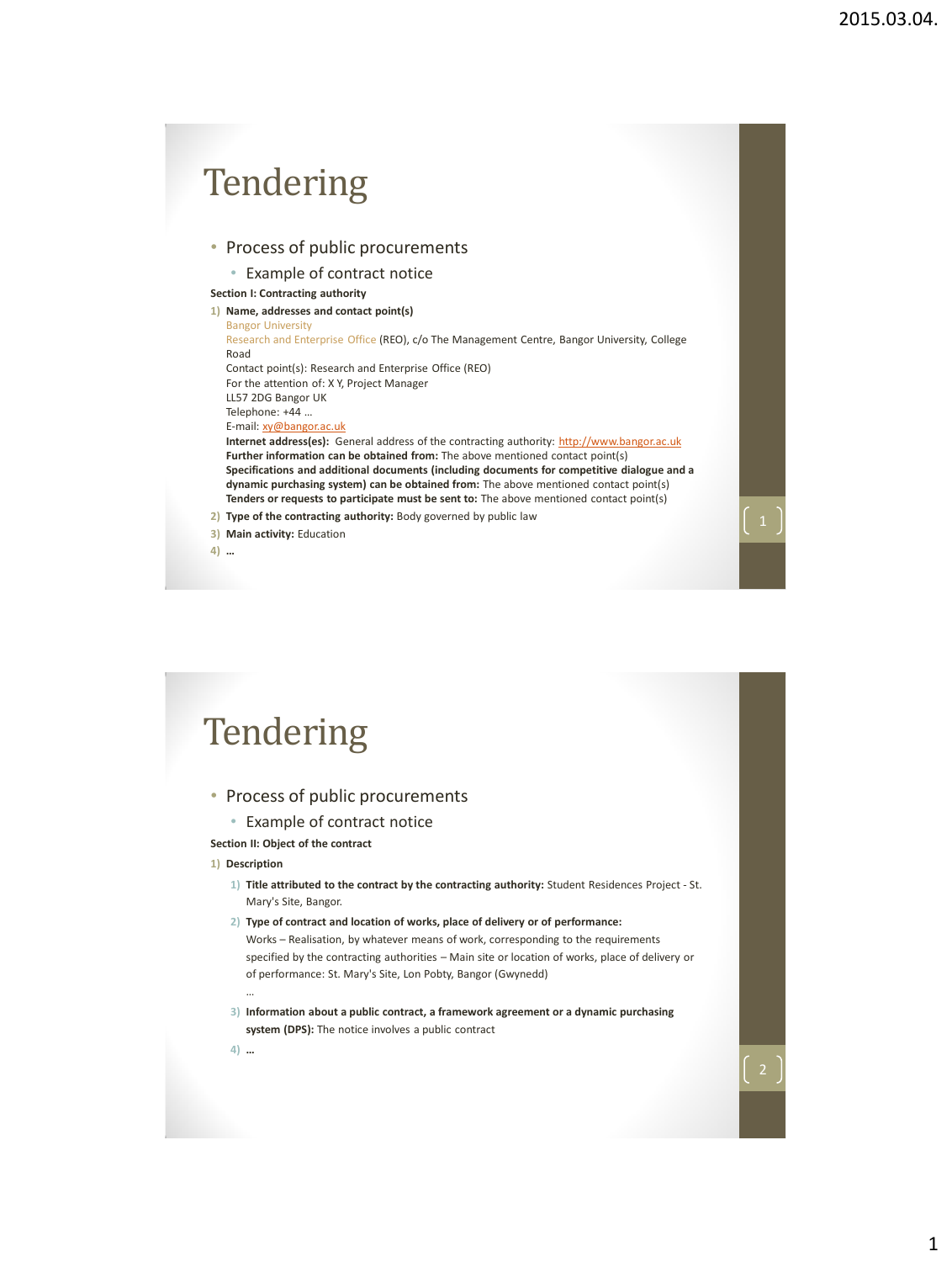

### • Process of public procurements

- Example of contract notice
- **Section II: Object of the contract**

#### **1) Description**

- **1) Title attributed to the contract by the contracting authority:** Student Residences Project St. Mary's Site, Bangor.
- **2) Type of contract and location of works, place of delivery or of performance:**

Works – Realisation, by whatever means of work, corresponding to the requirements specified by the contracting authorities – Main site or location of works, place of delivery or of performance: St. Mary's Site, Lon Pobty, Bangor (Gwynedd)

**3) Information about a public contract, a framework agreement or a dynamic purchasing system (DPS):** The notice involves a public contract

**4) …**

…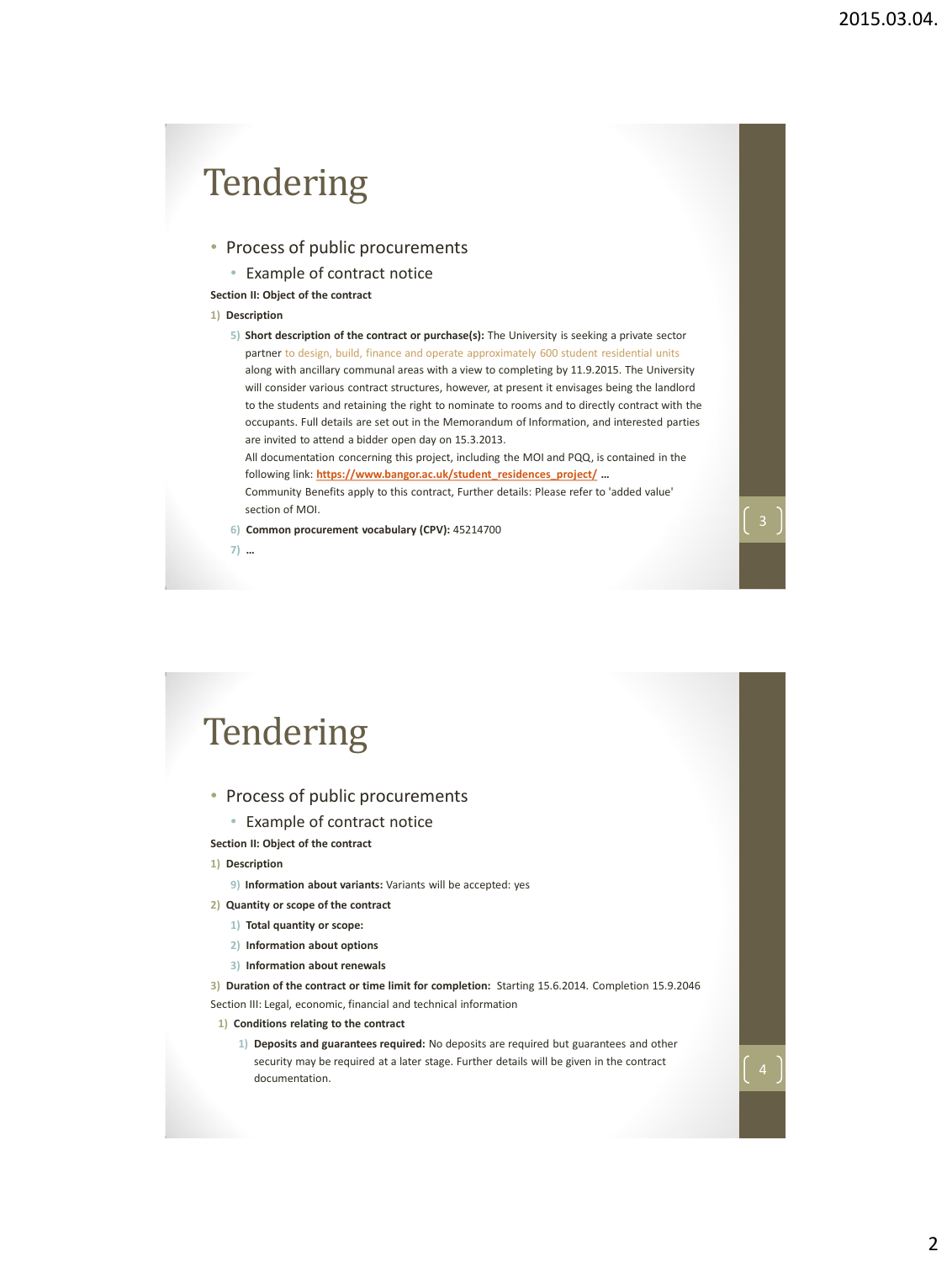- Process of public procurements
	- Example of contract notice

**Section II: Object of the contract**

#### **1) Description**

**7) …**

**5) Short description of the contract or purchase(s):** The University is seeking a private sector partner to design, build, finance and operate approximately 600 student residential units along with ancillary communal areas with a view to completing by 11.9.2015. The University will consider various contract structures, however, at present it envisages being the landlord to the students and retaining the right to nominate to rooms and to directly contract with the occupants. Full details are set out in the Memorandum of Information, and interested parties are invited to attend a bidder open day on 15.3.2013.

All documentation concerning this project, including the MOI and PQQ, is contained in the following link: **[https://www.bangor.ac.uk/student\\_residences\\_project/](https://www.bangor.ac.uk/student_residences_project/) …**

Community Benefits apply to this contract, Further details: Please refer to 'added value' section of MOI.

**6) Common procurement vocabulary (CPV):** 45214700

## **Tendering**

#### • Process of public procurements

- Example of contract notice
- **Section II: Object of the contract**

#### **1) Description**

- **9) Information about variants:** Variants will be accepted: yes
- **2) Quantity or scope of the contract**
	- **1) Total quantity or scope:**
	- **2) Information about options**
	- **3) Information about renewals**

**3) Duration of the contract or time limit for completion:** Starting 15.6.2014. Completion 15.9.2046 Section III: Legal, economic, financial and technical information

#### **1) Conditions relating to the contract**

**1) Deposits and guarantees required:** No deposits are required but guarantees and other security may be required at a later stage. Further details will be given in the contract documentation.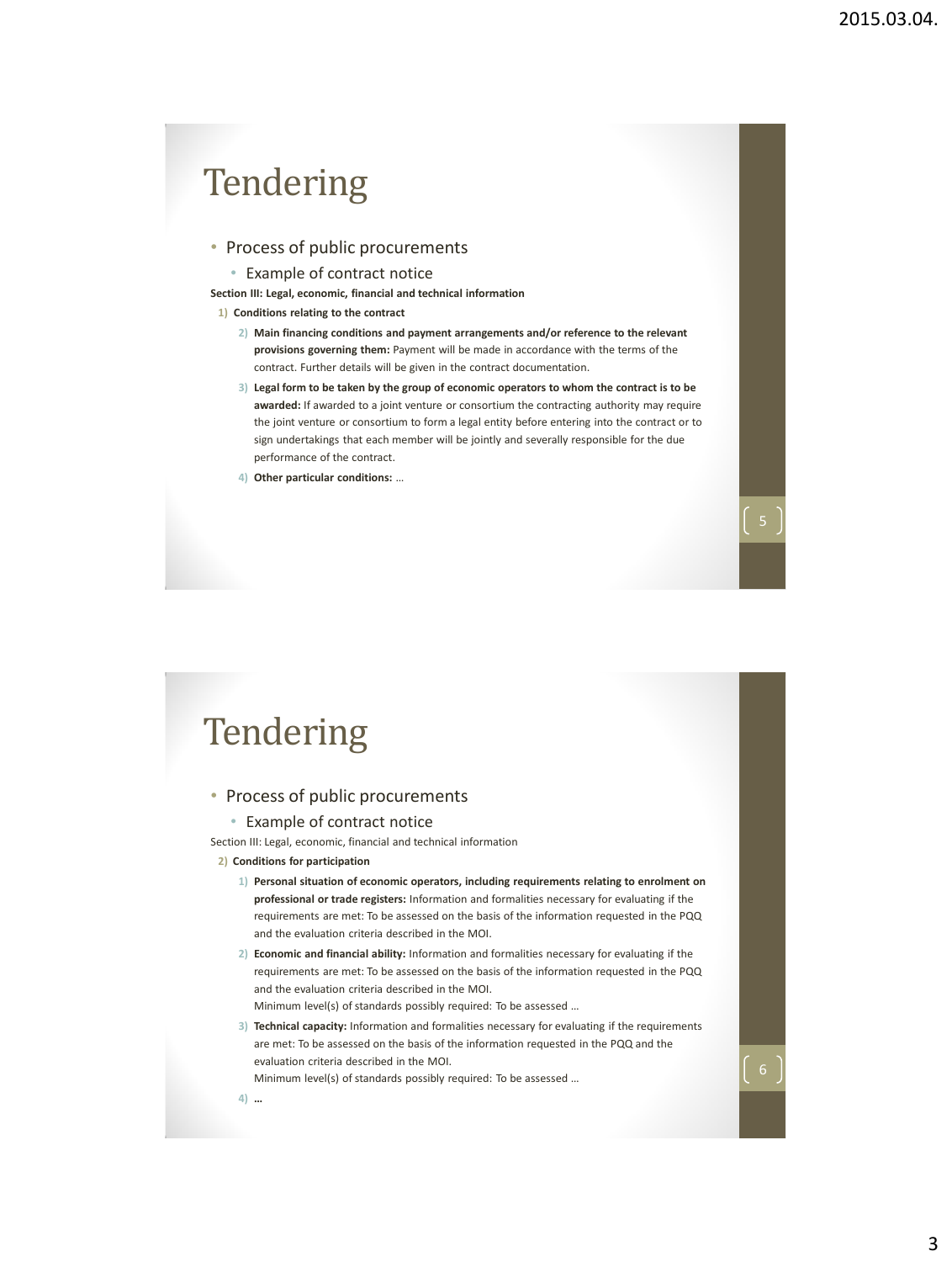### • Process of public procurements

• Example of contract notice

**Section III: Legal, economic, financial and technical information**

- **1) Conditions relating to the contract** 
	- **2) Main financing conditions and payment arrangements and/or reference to the relevant provisions governing them:** Payment will be made in accordance with the terms of the contract. Further details will be given in the contract documentation.
	- **3) Legal form to be taken by the group of economic operators to whom the contract is to be awarded:** If awarded to a joint venture or consortium the contracting authority may require the joint venture or consortium to form a legal entity before entering into the contract or to sign undertakings that each member will be jointly and severally responsible for the due performance of the contract.
	- **4) Other particular conditions:** …

## **Tendering**

### • Process of public procurements

#### • Example of contract notice

Section III: Legal, economic, financial and technical information

#### **2) Conditions for participation**

- **1) Personal situation of economic operators, including requirements relating to enrolment on professional or trade registers:** Information and formalities necessary for evaluating if the requirements are met: To be assessed on the basis of the information requested in the PQQ and the evaluation criteria described in the MOI.
- **2) Economic and financial ability:** Information and formalities necessary for evaluating if the requirements are met: To be assessed on the basis of the information requested in the PQQ and the evaluation criteria described in the MOI. Minimum level(s) of standards possibly required: To be assessed …
- **3) Technical capacity:** Information and formalities necessary for evaluating if the requirements are met: To be assessed on the basis of the information requested in the PQQ and the evaluation criteria described in the MOI.

Minimum level(s) of standards possibly required: To be assessed …

**4) …**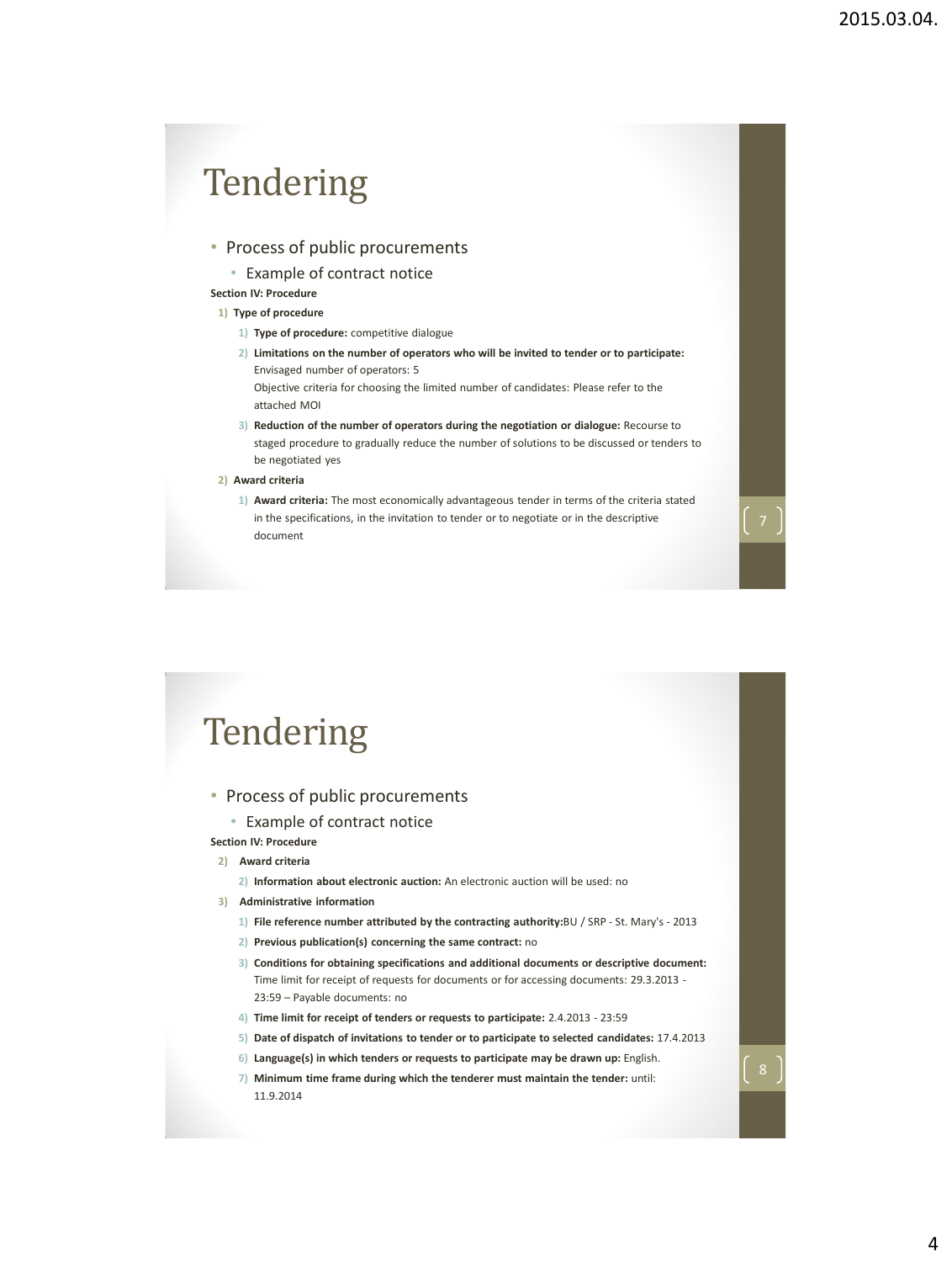### • Process of public procurements

• Example of contract notice

**Section IV: Procedure**

#### **1) Type of procedure**

attached MOI

- **1) Type of procedure:** competitive dialogue
- **2) Limitations on the number of operators who will be invited to tender or to participate:**  Envisaged number of operators: 5 Objective criteria for choosing the limited number of candidates: Please refer to the
- **3) Reduction of the number of operators during the negotiation or dialogue:** Recourse to staged procedure to gradually reduce the number of solutions to be discussed or tenders to be negotiated yes

#### **2) Award criteria**

**1) Award criteria:** The most economically advantageous tender in terms of the criteria stated in the specifications, in the invitation to tender or to negotiate or in the descriptive document

### **Tendering**

### • Process of public procurements

• Example of contract notice

#### **Section IV: Procedure**

- **2) Award criteria**
	- **2) Information about electronic auction:** An electronic auction will be used: no
- **3) Administrative information**
	- **1) File reference number attributed by the contracting authority:**BU / SRP St. Mary's 2013
	- **2) Previous publication(s) concerning the same contract:** no
	- **3) Conditions for obtaining specifications and additional documents or descriptive document:**  Time limit for receipt of requests for documents or for accessing documents: 29.3.2013 - 23:59 – Payable documents: no
	- **4) Time limit for receipt of tenders or requests to participate:** 2.4.2013 23:59
	- **5) Date of dispatch of invitations to tender or to participate to selected candidates:** 17.4.2013
	- **6) Language(s) in which tenders or requests to participate may be drawn up:** English.
	- **7) Minimum time frame during which the tenderer must maintain the tender:** until: 11.9.2014